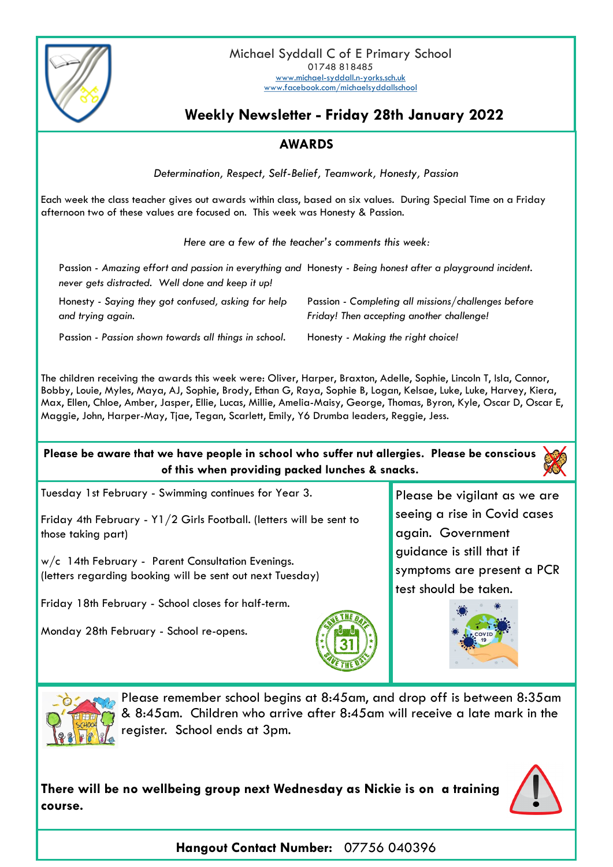

## **Weekly Newsletter - Friday 28th January 2022**

## **AWARDS**

*Determination, Respect, Self-Belief, Teamwork, Honesty, Passion*

Each week the class teacher gives out awards within class, based on six values. During Special Time on a Friday afternoon two of these values are focused on. This week was Honesty & Passion.

*Here are a few of the teacher's comments this week:*

|                                                                          | Passion - Amazing effort and passion in everything and Honesty - Being honest after a playground incident. |
|--------------------------------------------------------------------------|------------------------------------------------------------------------------------------------------------|
| never gets distracted. Well done and keep it up!                         |                                                                                                            |
| Honesty - Saying they got confused, asking for help<br>and trying again. | Passion - Completing all missions/challenges before<br>Friday! Then accepting another challenge!           |
| Passion - Passion shown towards all things in school.                    | Honesty - Making the right choice!                                                                         |

The children receiving the awards this week were: Oliver, Harper, Braxton, Adelle, Sophie, Lincoln T, Isla, Connor, Bobby, Louie, Myles, Maya, AJ, Sophie, Brody, Ethan G, Raya, Sophie B, Logan, Kelsae, Luke, Luke, Harvey, Kiera, Max, Ellen, Chloe, Amber, Jasper, Ellie, Lucas, Millie, Amelia-Maisy, George, Thomas, Byron, Kyle, Oscar D, Oscar E, Maggie, John, Harper-May, Tjae, Tegan, Scarlett, Emily, Y6 Drumba leaders, Reggie, Jess.

**Please be aware that we have people in school who suffer nut allergies. Please be conscious of this when providing packed lunches & snacks.**



Friday 4th February - Y1/2 Girls Football. (letters will be sent to those taking part)

w/c 14th February - Parent Consultation Evenings. (letters regarding booking will be sent out next Tuesday)

Friday 18th February - School closes for half-term.

Monday 28th February - School re-opens.



Please be vigilant as we are seeing a rise in Covid cases again. Government guidance is still that if symptoms are present a PCR test should be taken.





Please remember school begins at 8:45am, and drop off is between 8:35am & 8:45am. Children who arrive after 8:45am will receive a late mark in the register. School ends at 3pm.

**There will be no wellbeing group next Wednesday as Nickie is on a training course.**



**Hangout Contact Number:** 07756 040396